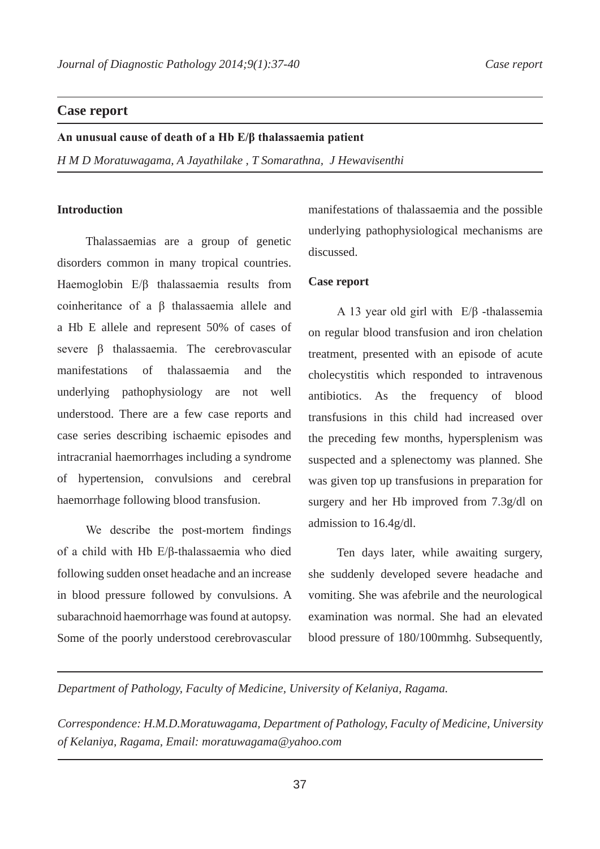# **Case report**

**An unusual cause of death of a Hb E/β thalassaemia patient**

*H M D Moratuwagama, A Jayathilake , T Somarathna, J Hewavisenthi* 

## **Introduction**

Thalassaemias are a group of genetic disorders common in many tropical countries. Haemoglobin E/β thalassaemia results from coinheritance of a β thalassaemia allele and a Hb E allele and represent 50% of cases of severe β thalassaemia. The cerebrovascular manifestations of thalassaemia and the underlying pathophysiology are not well understood. There are a few case reports and case series describing ischaemic episodes and intracranial haemorrhages including a syndrome of hypertension, convulsions and cerebral haemorrhage following blood transfusion.

We describe the post-mortem findings of a child with Hb E/β-thalassaemia who died following sudden onset headache and an increase in blood pressure followed by convulsions. A subarachnoid haemorrhage was found at autopsy. Some of the poorly understood cerebrovascular manifestations of thalassaemia and the possible underlying pathophysiological mechanisms are discussed.

# **Case report**

A 13 year old girl with E/β -thalassemia on regular blood transfusion and iron chelation treatment, presented with an episode of acute cholecystitis which responded to intravenous antibiotics. As the frequency of blood transfusions in this child had increased over the preceding few months, hypersplenism was suspected and a splenectomy was planned. She was given top up transfusions in preparation for surgery and her Hb improved from 7.3g/dl on admission to 16.4g/dl.

Ten days later, while awaiting surgery, she suddenly developed severe headache and vomiting. She was afebrile and the neurological examination was normal. She had an elevated blood pressure of 180/100mmhg. Subsequently,

*Department of Pathology, Faculty of Medicine, University of Kelaniya, Ragama.* 

*Correspondence: H.M.D.Moratuwagama, Department of Pathology, Faculty of Medicine, University of Kelaniya, Ragama, Email: moratuwagama@yahoo.com*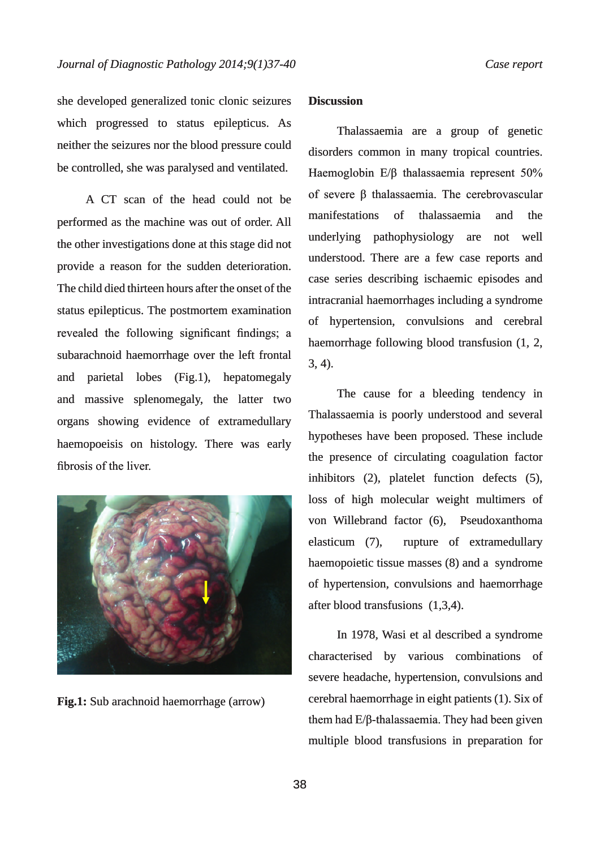she developed generalized tonic clonic seizures which progressed to status epilepticus. As neither the seizures nor the blood pressure could be controlled, she was paralysed and ventilated.

A CT scan of the head could not be performed as the machine was out of order. All the other investigations done at this stage did not provide a reason for the sudden deterioration. The child died thirteen hours after the onset of the status epilepticus. The postmortem examination revealed the following significant findings; a subarachnoid haemorrhage over the left frontal and parietal lobes (Fig.1), hepatomegaly and massive splenomegaly, the latter two organs showing evidence of extramedullary haemopoeisis on histology. There was early fibrosis of the liver. she developed generalized tonic coinci seizures **Discussion**<br>which progressure could discribe controlled, she was paralysed and ventilated.<br>Haromoglobin E/B thalassaemia are a group of generalized controlled, she was paral



**Fig.1:** Sub arachnoid haemorrhage (arrow)

#### **Discussion**

Thalassaemia are a group of genetic disorders common in many tropical countries. Haemoglobin E/β thalassaemia represent 50% of severe β thalassaemia. The cerebrovascular manifestations of thalassaemia and the underlying pathophysiology are not well understood. There are a few case reports and case series describing ischaemic episodes and intracranial haemorrhages including a syndrome of hypertension, convulsions and cerebral haemorrhage following blood transfusion (1, 2, 3, 4).

The cause for a bleeding tendency in Thalassaemia is poorly understood and several hypotheses have been proposed. These include the presence of circulating coagulation factor inhibitors (2), platelet function defects (5), loss of high molecular weight multimers of von Willebrand factor (6), Pseudoxanthoma elasticum (7), rupture of extramedullary haemopoietic tissue masses (8) and a syndrome of hypertension, convulsions and haemorrhage after blood transfusions (1,3,4).

In 1978, Wasi et al described a syndrome characterised by various combinations of severe headache, hypertension, convulsions and cerebral haemorrhage in eight patients (1). Six of them had E/β-thalassaemia. They had been given multiple blood transfusions in preparation for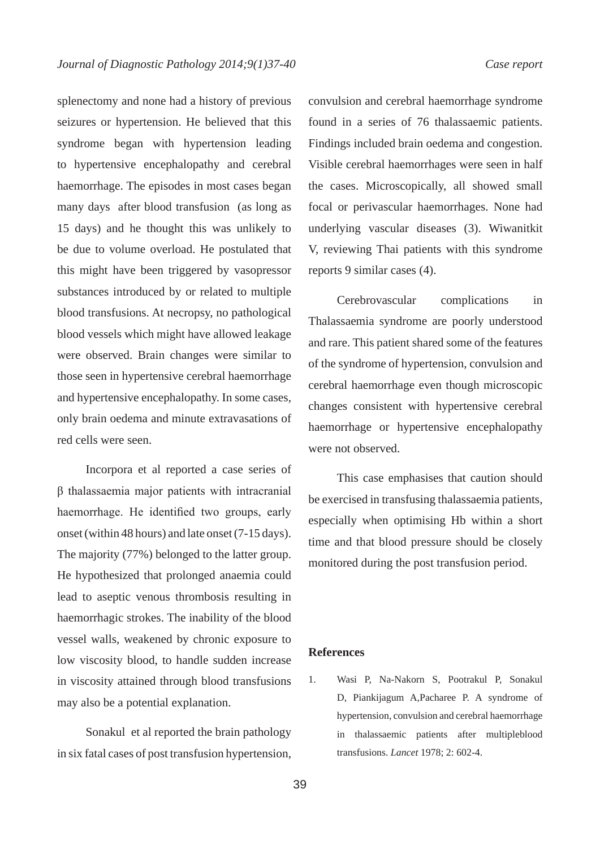splenectomy and none had a history of previous seizures or hypertension. He believed that this syndrome began with hypertension leading to hypertensive encephalopathy and cerebral haemorrhage. The episodes in most cases began many days after blood transfusion (as long as 15 days) and he thought this was unlikely to be due to volume overload. He postulated that this might have been triggered by vasopressor substances introduced by or related to multiple blood transfusions. At necropsy, no pathological blood vessels which might have allowed leakage were observed. Brain changes were similar to those seen in hypertensive cerebral haemorrhage and hypertensive encephalopathy. In some cases, only brain oedema and minute extravasations of red cells were seen.

Incorpora et al reported a case series of β thalassaemia major patients with intracranial haemorrhage. He identified two groups, early onset (within 48 hours) and late onset (7-15 days). The majority (77%) belonged to the latter group. He hypothesized that prolonged anaemia could lead to aseptic venous thrombosis resulting in haemorrhagic strokes. The inability of the blood vessel walls, weakened by chronic exposure to low viscosity blood, to handle sudden increase in viscosity attained through blood transfusions may also be a potential explanation.

Sonakul et al reported the brain pathology in six fatal cases of post transfusion hypertension, convulsion and cerebral haemorrhage syndrome found in a series of 76 thalassaemic patients. Findings included brain oedema and congestion. Visible cerebral haemorrhages were seen in half the cases. Microscopically, all showed small focal or perivascular haemorrhages. None had underlying vascular diseases (3). Wiwanitkit V, reviewing Thai patients with this syndrome reports 9 similar cases (4).

Cerebrovascular complications in Thalassaemia syndrome are poorly understood and rare. This patient shared some of the features of the syndrome of hypertension, convulsion and cerebral haemorrhage even though microscopic changes consistent with hypertensive cerebral haemorrhage or hypertensive encephalopathy were not observed.

This case emphasises that caution should be exercised in transfusing thalassaemia patients, especially when optimising Hb within a short time and that blood pressure should be closely monitored during the post transfusion period.

#### **References**

1. Wasi P, Na-Nakorn S, Pootrakul P, Sonakul D, Piankijagum A,Pacharee P. A syndrome of hypertension, convulsion and cerebral haemorrhage in thalassaemic patients after multipleblood transfusions. *Lancet* 1978; 2: 602-4.